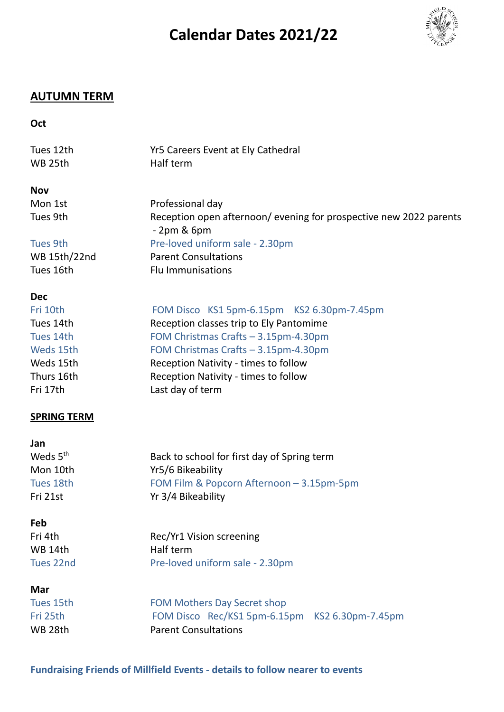## **Calendar Dates 2021/22**



## **AUTUMN TERM**

## **Oct**

| Tues 12th<br>WB 25th | Yr5 Careers Event at Ely Cathedral<br>Half term                                     |
|----------------------|-------------------------------------------------------------------------------------|
| <b>Nov</b>           |                                                                                     |
| Mon 1st              | Professional day                                                                    |
| Tues 9th             | Reception open afternoon/ evening for prospective new 2022 parents<br>$-2$ pm & 6pm |
| Tues 9th             | Pre-loved uniform sale - 2.30pm                                                     |
| WB 15th/22nd         | <b>Parent Consultations</b>                                                         |
| Tues 16th            | <b>Flu Immunisations</b>                                                            |
| <b>Dec</b>           |                                                                                     |
| Fri 10th             | FOM Disco KS1 5pm-6.15pm KS2 6.30pm-7.45pm                                          |
| Tues 14th            | Reception classes trip to Ely Pantomime                                             |
| Tues 14th            | FOM Christmas Crafts - 3.15pm-4.30pm                                                |
| Weds 15th            | FOM Christmas Crafts - 3.15pm-4.30pm                                                |
| Weds 15th            | Reception Nativity - times to follow                                                |
| Thurs 16th           | Reception Nativity - times to follow                                                |
| Fri 17th             | Last day of term                                                                    |
| <b>SPRING TERM</b>   |                                                                                     |
| Jan                  |                                                                                     |
| Weds 5 <sup>th</sup> | Back to school for first day of Spring term                                         |
| Mon 10th             | Yr5/6 Bikeability                                                                   |
| Tues 18th            | FOM Film & Popcorn Afternoon - 3.15pm-5pm                                           |
| Fri 21st             | Yr 3/4 Bikeability                                                                  |
| Feb                  |                                                                                     |
| Fri 4th              | Rec/Yr1 Vision screening                                                            |
| WB 14th              | Half term                                                                           |
| Tues 22nd            | Pre-loved uniform sale - 2.30pm                                                     |
| Mar                  |                                                                                     |
| Tues 15th            | <b>FOM Mothers Day Secret shop</b>                                                  |
| Fri 25th             | FOM Disco Rec/KS1 5pm-6.15pm KS2 6.30pm-7.45pm                                      |
| WB 28th              | <b>Parent Consultations</b>                                                         |
|                      |                                                                                     |